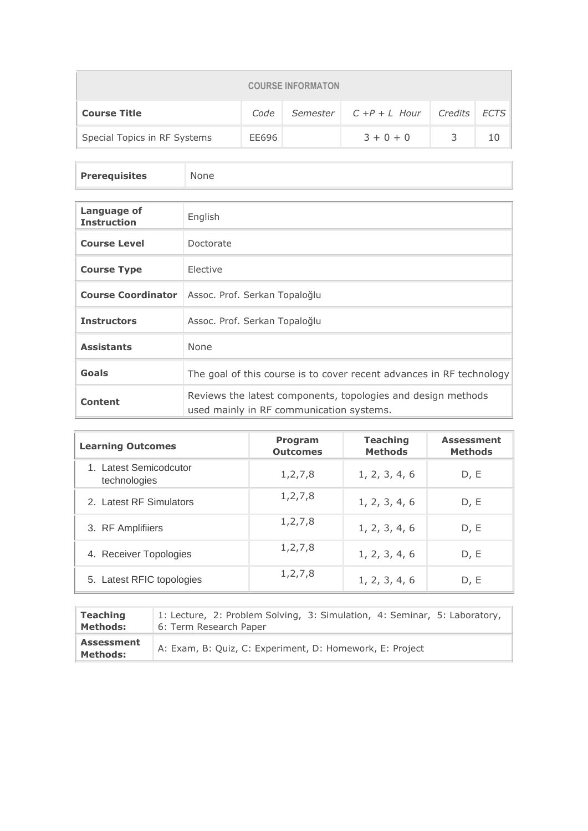| <b>COURSE INFORMATON</b>                                              |       |  |             |   |    |  |
|-----------------------------------------------------------------------|-------|--|-------------|---|----|--|
| Semester $C + P + L$ Hour Credits ECTS<br><b>Course Title</b><br>Code |       |  |             |   |    |  |
| Special Topics in RF Systems                                          | EE696 |  | $3 + 0 + 0$ | 3 | 10 |  |

| <b>Prerequisites</b> | None |
|----------------------|------|
|                      |      |

| Language of<br><b>Instruction</b> | English                                                                                                  |
|-----------------------------------|----------------------------------------------------------------------------------------------------------|
| <b>Course Level</b>               | Doctorate                                                                                                |
| <b>Course Type</b>                | Elective                                                                                                 |
| <b>Course Coordinator</b>         | Assoc. Prof. Serkan Topaloğlu                                                                            |
| <b>Instructors</b>                | Assoc. Prof. Serkan Topaloğlu                                                                            |
| <b>Assistants</b>                 | <b>None</b>                                                                                              |
| Goals                             | The goal of this course is to cover recent advances in RF technology                                     |
| <b>Content</b>                    | Reviews the latest components, topologies and design methods<br>used mainly in RF communication systems. |

| <b>Learning Outcomes</b>               | <b>Program</b><br><b>Outcomes</b> | <b>Teaching</b><br><b>Methods</b> | <b>Assessment</b><br><b>Methods</b> |
|----------------------------------------|-----------------------------------|-----------------------------------|-------------------------------------|
| 1. Latest Semicodcutor<br>technologies | 1, 2, 7, 8                        | 1, 2, 3, 4, 6                     | D, E                                |
| 2. Latest RF Simulators                | 1, 2, 7, 8                        | 1, 2, 3, 4, 6                     | D, E                                |
| 3. RF Amplifiiers                      | 1, 2, 7, 8                        | 1, 2, 3, 4, 6                     | D, E                                |
| 4. Receiver Topologies                 | 1, 2, 7, 8                        | 1, 2, 3, 4, 6                     | D, E                                |
| 5. Latest RFIC topologies              | 1, 2, 7, 8                        | 1, 2, 3, 4, 6                     | D, E                                |

| <b>Teaching</b>                      | 1: Lecture, 2: Problem Solving, 3: Simulation, 4: Seminar, 5: Laboratory, |
|--------------------------------------|---------------------------------------------------------------------------|
| <b>Methods:</b>                      | 6: Term Research Paper                                                    |
| <b>Assessment</b><br><b>Methods:</b> | A: Exam, B: Quiz, C: Experiment, D: Homework, E: Project                  |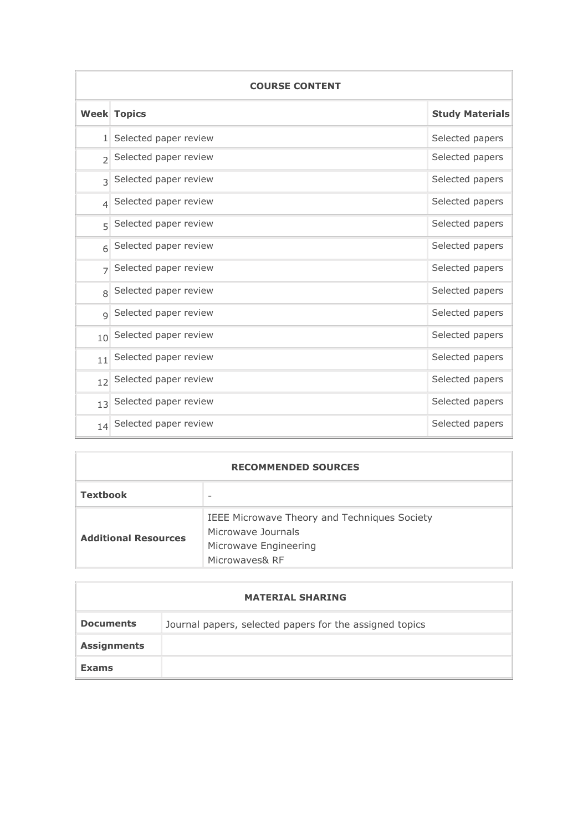| <b>COURSE CONTENT</b> |                            |                        |  |  |  |
|-----------------------|----------------------------|------------------------|--|--|--|
|                       | <b>Week Topics</b>         | <b>Study Materials</b> |  |  |  |
|                       | 1 Selected paper review    | Selected papers        |  |  |  |
| $\overline{2}$        | Selected paper review      | Selected papers        |  |  |  |
| $\mathcal{L}$         | Selected paper review      | Selected papers        |  |  |  |
|                       | $_4$ Selected paper review | Selected papers        |  |  |  |
| 5                     | Selected paper review      | Selected papers        |  |  |  |
| $\sqrt{2}$            | Selected paper review      | Selected papers        |  |  |  |
| $\overline{7}$        | Selected paper review      | Selected papers        |  |  |  |
| $\mathsf{R}$          | Selected paper review      | Selected papers        |  |  |  |
| $\mathsf{Q}$          | Selected paper review      | Selected papers        |  |  |  |
| 10 <sup>1</sup>       | Selected paper review      | Selected papers        |  |  |  |
| 11                    | Selected paper review      | Selected papers        |  |  |  |
| 12                    | Selected paper review      | Selected papers        |  |  |  |
| 13                    | Selected paper review      | Selected papers        |  |  |  |
|                       | 14 Selected paper review   | Selected papers        |  |  |  |

| <b>RECOMMENDED SOURCES</b>  |                                                                                                               |  |  |  |
|-----------------------------|---------------------------------------------------------------------------------------------------------------|--|--|--|
| <b>Textbook</b>             |                                                                                                               |  |  |  |
| <b>Additional Resources</b> | IEEE Microwave Theory and Techniques Society<br>Microwave Journals<br>Microwave Engineering<br>Microwaves& RF |  |  |  |

|                    | <b>MATERIAL SHARING</b>                                 |
|--------------------|---------------------------------------------------------|
| <b>Documents</b>   | Journal papers, selected papers for the assigned topics |
| <b>Assignments</b> |                                                         |
| <b>Exams</b>       |                                                         |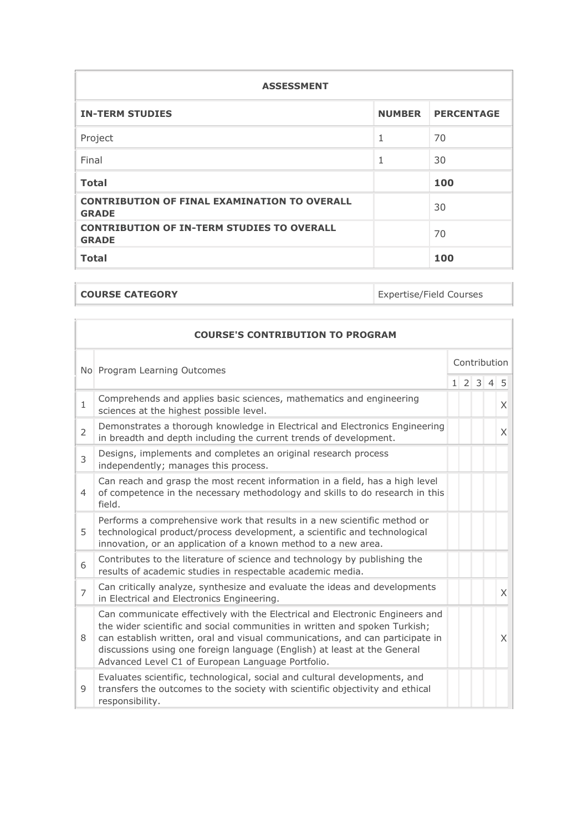| <b>ASSESSMENT</b>                                                   |   |                   |  |  |  |
|---------------------------------------------------------------------|---|-------------------|--|--|--|
| <b>IN-TERM STUDIES</b>                                              |   | NUMBER PERCENTAGE |  |  |  |
| Project                                                             | 1 | 70                |  |  |  |
| Final                                                               | 1 | 30                |  |  |  |
| <b>Total</b>                                                        |   | 100               |  |  |  |
| <b>CONTRIBUTION OF FINAL EXAMINATION TO OVERALL</b><br><b>GRADE</b> |   | 30                |  |  |  |
| <b>CONTRIBUTION OF IN-TERM STUDIES TO OVERALL</b><br><b>GRADE</b>   |   | 70                |  |  |  |
| <b>Total</b>                                                        |   | 100               |  |  |  |

**COURSE CATEGORY Expertise/Field Courses** 

| <b>COURSE'S CONTRIBUTION TO PROGRAM</b> |                                                                                                                                                                                                                                                                                                                                                                              |              |  |                 |  |   |
|-----------------------------------------|------------------------------------------------------------------------------------------------------------------------------------------------------------------------------------------------------------------------------------------------------------------------------------------------------------------------------------------------------------------------------|--------------|--|-----------------|--|---|
| No Program Learning Outcomes            |                                                                                                                                                                                                                                                                                                                                                                              | Contribution |  |                 |  |   |
|                                         |                                                                                                                                                                                                                                                                                                                                                                              |              |  | $1 \t2 \t3 \t4$ |  | 5 |
| $\mathbf{1}$                            | Comprehends and applies basic sciences, mathematics and engineering<br>sciences at the highest possible level.                                                                                                                                                                                                                                                               |              |  |                 |  | X |
| $\overline{2}$                          | Demonstrates a thorough knowledge in Electrical and Electronics Engineering<br>in breadth and depth including the current trends of development.                                                                                                                                                                                                                             |              |  |                 |  | X |
| 3                                       | Designs, implements and completes an original research process<br>independently; manages this process.                                                                                                                                                                                                                                                                       |              |  |                 |  |   |
| $\overline{4}$                          | Can reach and grasp the most recent information in a field, has a high level<br>of competence in the necessary methodology and skills to do research in this<br>field.                                                                                                                                                                                                       |              |  |                 |  |   |
| 5                                       | Performs a comprehensive work that results in a new scientific method or<br>technological product/process development, a scientific and technological<br>innovation, or an application of a known method to a new area.                                                                                                                                                      |              |  |                 |  |   |
| 6                                       | Contributes to the literature of science and technology by publishing the<br>results of academic studies in respectable academic media.                                                                                                                                                                                                                                      |              |  |                 |  |   |
| $\overline{7}$                          | Can critically analyze, synthesize and evaluate the ideas and developments<br>in Electrical and Electronics Engineering.                                                                                                                                                                                                                                                     |              |  |                 |  | X |
| 8                                       | Can communicate effectively with the Electrical and Electronic Engineers and<br>the wider scientific and social communities in written and spoken Turkish;<br>can establish written, oral and visual communications, and can participate in<br>discussions using one foreign language (English) at least at the General<br>Advanced Level C1 of European Language Portfolio. |              |  |                 |  | X |
| 9                                       | Evaluates scientific, technological, social and cultural developments, and<br>transfers the outcomes to the society with scientific objectivity and ethical<br>responsibility.                                                                                                                                                                                               |              |  |                 |  |   |